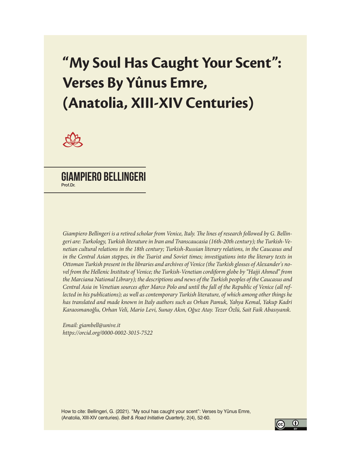# **"My Soul Has Caught Your Scent": Verses By Yûnus Emre, (Anatolia, XIII-XIV Centuries)**



## Giampiero Bellingeri Prof.Dr.

*Giampiero Bellingeri is a retired scholar from Venice, Italy. The lines of research followed by G. Bellingeri are: Turkology, Turkish literature in Iran and Transcaucasia (16th-20th century); the Turkish-Venetian cultural relations in the 18th century; Turkish-Russian literary relations, in the Caucasus and in the Central Asian steppes, in the Tsarist and Soviet times; investigations into the literary texts in Ottoman Turkish present in the libraries and archives of Venice (the Turkish glosses of Alexander's novel from the Hellenic Institute of Venice; the Turkish-Venetian cordiform globe by "Hajji Ahmed" from the Marciana National Library); the descriptions and news of the Turkish peoples of the Caucasus and Central Asia in Venetian sources after Marco Polo and until the fall of the Republic of Venice (all reflected in his publications); as well as contemporary Turkish literature, of which among other things he has translated and made known in Italy authors such as Orhan Pamuk, Yahya Kemal, Yakup Kadri Karaosmanoğlu, Orhan Veli, Mario Levi, Sunay Akın, Oğuz Atay. Tezer Özlü, Sait Faik Abasıyanık.*

*Email: giambell@unive.it https://orcid.org/0000-0002-3015-7522*

How to cite: Bellingeri, G. (2021). "My soul has caught your scent": Verses by Yûnus Emre, (Anatolia, XIII-XIV centuries). *Belt & Road Initiative Quarterly*, 2(4), 52-60.

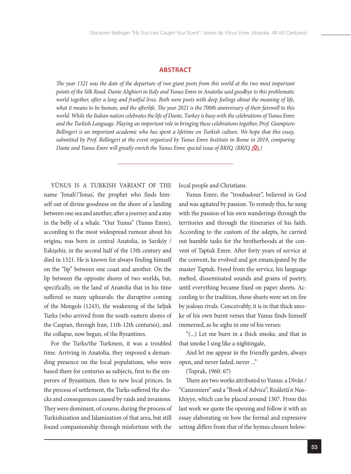#### **ABSTRACT**

*The year 1321 was the date of the departure of two giant poets from this world at the two most important points of the Silk Road. Dante Alighieri in Italy and Yunus Emre in Anatolia said goodbye to this problematic world together, after a long and fruitful lives. Both were poets with deep feelings about the meaning of life, what it means to be human, and the afterlife. The year 2021 is the 700th anniversary of their farewell to this world. While the Italian nation celebrates the life of Dante, Turkey is busy with the celebrations of Yunus Emre and the Turkish Language. Playing an important role in bringing these celebrations together, Prof. Giampiero Bellingeri is an important academic who has spent a lifetime on Turkish culture. We hope that this essay, submitted by Prof. Bellingeri at the event organized by Yunus Emre Institute in Rome in 2019, comparing Dante and Yunus Emre will greatly enrich the Yunus Emre special issue of BRIQ. (BRIQ )*

YÛNUS IS A TURKISH VARIANT OF THE name 'Jonah'/'Ionas', the prophet who finds himself out of divine goodness on the shore of a landing between one sea and another, after a journey and a stay in the belly of a whale. "Our Yunus" (Yunus Emre), according to the most widespread rumour about his origins, was born in central Anatolia, in Sarıköy / Eskişehir, in the second half of the 13th century and died in 1321. He is known for always finding himself on the "lip" between one coast and another. On the lip between the opposite shores of two worlds, but, specifically, on the land of Anatolia that in his time suffered so many upheavals: the disruptive coming of the Mongols (1243), the weakening of the Seljuk Turks (who arrived from the south-eastern shores of the Caspian, through Iran, 11th-12th centuries), and the collapse, now begun, of the Byzantines.

For the Turks/the Turkmen, it was a troubled time. Arriving in Anatolia, they imposed a demanding presence on the local populations, who were based there for centuries as subjects, first to the emperors of Byzantium, then to new local princes. In the process of settlement, the Turks suffered the shocks and consequences caused by raids and invasions. They were dominant, of course, during the process of Turkishization and Islamization of that area, but still found companionship through misfortune with the

local people and Christians.

Yunus Emre, the "troubadour", believed in God and was agitated by passion. To remedy this, he sung with the passion of his own wanderings through the territories and through the itineraries of his faith. According to the custom of the adepts, he carried out humble tasks for the brotherhoods at the convent of Taptuk Emre. After forty years of service at the convent, he evolved and got emancipated by the master Taptuk. Freed from the service, his language melted, disseminated sounds and grains of poetry, until everything became fixed on paper sheets. According to the tradition, these sheets were set on fire by jealous rivals. Conceivably, it is in that thick smoke of his own burnt verses that Yunus finds himself immersed, as he sighs in one of his verses:

"(...) Let me burn in a thick smoke, and that in that smoke I sing like a nightingale,

And let me appear in the friendly garden, always open, and never faded, never ..."

(Toprak, 1960: 67)

There are two works attributed to Yunus: a Dîvân / "Canzoniere" and a "Book of Advice", Risâletü'n Nuskhiyye, which can be placed around 1307. From this last work we quote the opening and follow it with an essay elaborating on how the formal and expressive setting differs from that of the hymns chosen below: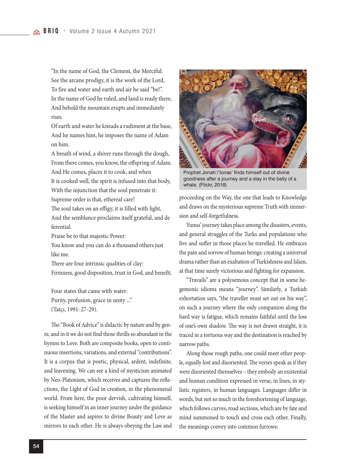"In the name of God, the Clement, the Merciful: See the arcane prodigy, it is the work of the Lord, To fire and water and earth and air he said "be!". In the name of God he ruled, and land is ready there, And behold the mountain erupts and immediately rises.

Of earth and water he kneads a rudiment at the base, And he names him, he imposes the name of Adam on him.

A breath of wind, a shiver runs through the dough, From there comes, you know, the offspring of Adam. And He comes, places it to cook, and when It is cooked well, the spirit is infused into that body, With the injunction that the soul penetrate it: Supreme order is that, ethereal care!

The soul takes on an effigy, it is filled with light, And the semblance proclaims itself grateful, and de ferential.

Praise be to that majestic Power:

You know and you can do a thousand others just like me.

There are four intrinsic qualities of clay: Firmness, good disposition, trust in God, and benefit.

Four states that came with water: Purity, profusion, grace in unity ..." (Tatçı, 1991: 27-29).

The "Book of Advice" is didactic by nature and by genre, and in it we do not find those thrills so abundant in the hymns to Love. Both are composite books, open to continuous insertions, variations, and external "contributions". It is a corpus that is poetic, physical, ardent, indefinite, and leavening. We can see a kind of mysticism animated by Neo-Platonism, which receives and captures the reflections, the Light of God in creation, in the phenomenal world. From here, the poor dervish, cultivating himself, is seeking himself in an inner journey under the guidance of the Master and aspires to divine Beauty and Love as mirrors to each other. He is always obeying the Law and



Prophet Jonah'/'Ionas' finds himself out of divine goodness after a journey and a stay in the belly of a whale. (Flickr, 2018)

proceeding on the Way, the one that leads to Knowledge and draws on the mysterious supreme Truth with immersion and self-forgetfulness.

Yunus' journey takes place among the disasters, events, and general struggles of the Turks and populations who live and suffer in those places he travelled. He embraces the pain and sorrow of human beings: creating a universal drama rather than an exaltation of Turkishness and Islam, at that time surely victorious and fighting for expansion.

"Travails" are a polysemous concept that in some hegemonic idioms means "journey". Similarly, a Turkish exhortation says, "the traveller must set out on his way", on such a journey where the only companion along the hard way is fatigue, which remains faithful until the loss of one's own shadow. The way is not drawn straight, it is traced in a tortuous way and the destination is reached by narrow paths.

Along those rough paths, one could meet other people, equally lost and disoriented. The verses speak as if they were disoriented themselves – they embody an existential and human condition expressed in verse, in lines, in stylistic registers, in human languages. Languages differ in words, but not so much in the foreshortening of language, which follows curves, road sections, which are by fate and mind summoned to touch and cross each other. Finally, the meanings convey into common furrows: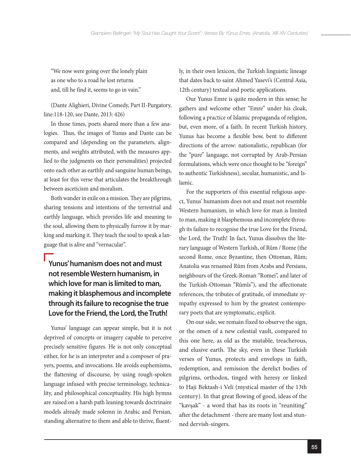"We now were going over the lonely plain as one who to a road he lost returns and, till he find it, seems to go in vain."

(Dante Alighieri, Divine Comedy, Part II-Purgatory, line:118-120, see Dante, 2013: 426)

In those times, poets shared more than a few analogies. Thus, the images of Yunus and Dante can be compared and (depending on the parameters, alignments, and weights attributed, with the measures applied to the judgments on their personalities) projected onto each other as earthly and sanguine human beings, at least for this verse that articulates the breakthrough between asceticism and moralism.

Both wander in exile on a mission. They are pilgrims, sharing tensions and intentions of the terrestrial and earthly language, which provides life and meaning to the soul, allowing them to physically furrow it by marking and marking it. They teach the soul to speak a language that is alive and "vernacular".

## **Yunus' humanism does not and must not resemble Western humanism, in which love for man is limited to man, making it blasphemous and incomplete through its failure to recognise the true Love for the Friend, the Lord, the Truth!**

Yunus' language can appear simple, but it is not deprived of concepts or imagery capable to perceive precisely sensitive figures. He is not only conceptual either, for he is an interpreter and a composer of prayers, poems, and invocations. He avoids euphemisms, the flattening of discourse, by using rough-spoken language infused with precise terminology, technicality, and philosophical conceptuality. His high hymns are raised on a harsh path leaning towards doctrinaire models already made solemn in Arabic and Persian, standing alternative to them and able to thrive, fluently, in their own lexicon, the Turkish linguistic lineage that dates back to saint Ahmed Yasevi's (Central Asia, 12th century) textual and poetic applications.

Our Yunus Emre is quite modern in this sense; he gathers and welcome other "Emre" under his cloak, following a practice of Islamic propaganda of religion, but, even more, of a faith. In recent Turkish history, Yunus has become a flexible bow, bent to different directions of the arrow: nationalistic, republican (for the "pure" language, not corrupted by Arab-Persian formulations, which were once thought to be "foreign" to authentic Turkishness), secular, humanistic, and Islamic.

For the supporters of this essential religious aspect, Yunus' humanism does not and must not resemble Western humanism, in which love for man is limited to man, making it blasphemous and incomplete through its failure to recognise the true Love for the Friend, the Lord, the Truth! In fact, Yunus dissolves the literary language of Western Turkish, of Rûm / Rome (the second Rome, once Byzantine, then Ottoman, Rûm; Anatolia was renamed Rûm from Arabs and Persians, neighbours of the Greek-Roman "Romei", and later of the Turkish-Ottoman "Rûmîs"), and the affectionate references, the tributes of gratitude, of immediate sympathy expressed to him by the greatest contemporary poets that are symptomatic, explicit.

On our side, we remain fixed to observe the sign, or the omen of a new celestial vault, compared to this one here, as old as the mutable, treacherous, and elusive earth. The sky, even in these Turkish verses of Yunus, protects and envelops in faith, redemption, and remission the derelict bodies of pilgrims, orthodox, tinged with heresy or linked to Haji Bektash-i Veli (mystical master of the 13th century). In that great flowing of good, ideas of the "kavşak" - a word that has its roots in "reuniting" after the detachment - there are many lost and stunned dervish-singers.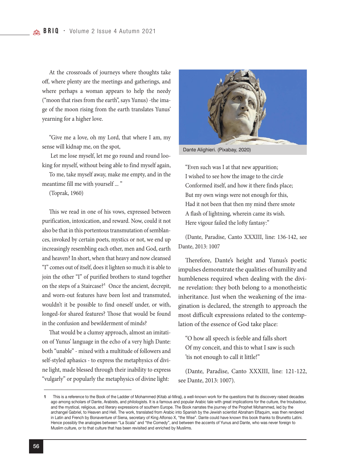At the crossroads of journeys where thoughts take off, where plenty are the meetings and gatherings, and where perhaps a woman appears to help the needy ("moon that rises from the earth", says Yunus) -the image of the moon rising from the earth translates Yunus' yearning for a higher love.

"Give me a love, oh my Lord, that where I am, my sense will kidnap me, on the spot,

 Let me lose myself, let me go round and round looking for myself, without being able to find myself again,

To me, take myself away, make me empty, and in the meantime fill me with yourself ... "

(Toprak, 1960)

This we read in one of his vows, expressed between purification, intoxication, and reward. Now, could it not also be that in this portentous transmutation of semblances, invoked by certain poets, mystics or not, we end up increasingly resembling each other, men and God, earth and heaven? In short, when that heavy and now cleansed "I" comes out of itself, does it lighten so much it is able to join the other "I" of purified brothers to stand together on the steps of a Staircase?<sup>1</sup> Once the ancient, decrepit, and worn-out features have been lost and transmuted, wouldn't it be possible to find oneself under, or with, longed-for shared features? Those that would be found in the confusion and bewilderment of minds?

That would be a clumsy approach, almost an imitation of Yunus' language in the echo of a very high Dante: both "unable" - mixed with a multitude of followers and self-styled aphasics - to express the metaphysics of divine light, made blessed through their inability to express "vulgarly" or popularly the metaphysics of divine light:



Dante Alighieri. (Pixabay, 2020)

"Even such was I at that new apparition; I wished to see how the image to the circle Conformed itself, and how it there finds place; But my own wings were not enough for this, Had it not been that then my mind there smote A flash of lightning, wherein came its wish. Here vigour failed the lofty fantasy:"

(Dante, Paradise, Canto XXXIII, line: 136-142, see Dante, 2013: 1007

Therefore, Dante's height and Yunus's poetic impulses demonstrate the qualities of humility and humbleness required when dealing with the divine revelation: they both belong to a monotheistic inheritance. Just when the weakening of the imagination is declared, the strength to approach the most difficult expressions related to the contemplation of the essence of God take place:

"O how all speech is feeble and falls short Of my conceit, and this to what I saw is such 'tis not enough to call it little!"

(Dante, Paradise, Canto XXXIII, line: 121-122, see Dante, 2013: 1007).

This is a reference to the Book of the Ladder of Mohammed (Kitab al-Miraj), a well-known work for the questions that its discovery raised decades ago among scholars of Dante, Arabists, and philologists. It is a famous and popular Arabic tale with great implications for the culture, the troubadour, and the mystical, religious, and literary expressions of southern Europe. The Book narrates the journey of the Prophet Mohammed, led by the archangel Gabriel, to Heaven and Hell. The work, translated from Arabic into Spanish by the Jewish scientist Abraham Elfaquim, was then rendered in Latin and French by Bonaventure of Siena, secretary of King Alfonso X, "the Wise". Dante could have known this book thanks to Brunetto Latini. Hence possibly the analogies between "La Scala" and "the Comedy", and between the accents of Yunus and Dante, who was never foreign to Muslim culture, or to that culture that has been revisited and enriched by Muslims. **1**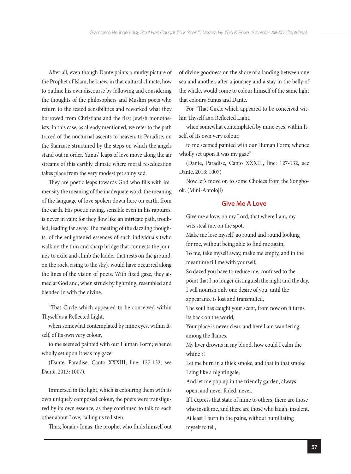After all, even though Dante paints a murky picture of the Prophet of Islam, he knew, in that cultural climate, how to outline his own discourse by following and considering the thoughts of the philosophers and Muslim poets who return to the tested sensibilities and reworked what they borrowed from Christians and the first Jewish monotheists. In this case, as already mentioned, we refer to the path traced of the nocturnal ascents to heaven, to Paradise, on the Staircase structured by the steps on which the angels stand out in order. Yunus' leaps of love move along the air streams of this earthly climate where moral re-education takes place from the very modest yet shiny sod.

They are poetic leaps towards God who fills with immensity the meaning of the inadequate word, the meaning of the language of love spoken down here on earth, from the earth. His poetic raving, sensible even in his raptures, is never in vain: for they flow like an intricate path, troubled, leading far away. The meeting of the dazzling thoughts, of the enlightened essences of such individuals (who walk on the thin and sharp bridge that connects the journey to exile and climb the ladder that rests on the ground, on the rock, rising to the sky), would have occurred along the lines of the vision of poets. With fixed gaze, they aimed at God and, when struck by lightning, resembled and blended in with the divine.

"That Circle which appeared to be conceived within Thyself as a Reflected Light,

when somewhat contemplated by mine eyes, within Itself, of Its own very colour,

to me seemed painted with our Human Form; whence wholly set upon It was my gaze"

(Dante, Paradise, Canto XXXIII, line: 127-132, see Dante, 2013: 1007).

Immersed in the light, which is colouring them with its own uniquely composed colour, the poets were transfigured by its own essence, as they continued to talk to each other about Love, calling us to listen.

Thus, Jonah / Ionas, the prophet who finds himself out

of divine goodness on the shore of a landing between one sea and another, after a journey and a stay in the belly of the whale, would come to colour himself of the same light that colours Yunus and Dante.

For "That Circle which appeared to be conceived within Thyself as a Reflected Light,

when somewhat contemplated by mine eyes, within Itself, of Its own very colour,

to me seemed painted with our Human Form; whence wholly set upon It was my gaze"

(Dante, Paradise, Canto XXXIII, line: 127-132, see Dante, 2013: 1007)

Now let's move on to some Choices from the Songbook. (Mini-Antoloji)

#### **Give Me A Love**

Give me a love, oh my Lord, that where I am, my wits steal me, on the spot,

Make me lose myself, go round and round looking for me, without being able to find me again,

To me, take myself away, make me empty, and in the meantime fill me with yourself,

So dazed you have to reduce me, confused to the point that I no longer distinguish the night and the day, I will nourish only one desire of you, until the appearance is lost and transmuted,

The soul has caught your scent, from now on it turns its back on the world,

Your place is never clear, and here I am wandering among the flames,

My liver drowns in my blood, how could I calm the whine ?!

Let me burn in a thick smoke, and that in that smoke I sing like a nightingale,

And let me pop up in the friendly garden, always open, and never faded, never.

If I express that state of mine to others, there are those who insult me, and there are those who laugh, insolent, At least I burn in the pains, without humiliating myself to tell,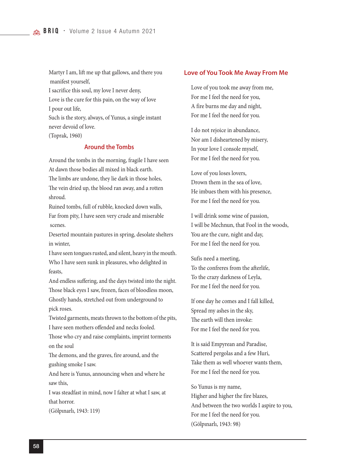Martyr I am, lift me up that gallows, and there you manifest yourself,

I sacrifice this soul, my love I never deny,

Love is the cure for this pain, on the way of love I pour out life,

Such is the story, always, of Yunus, a single instant never devoid of love.

(Toprak, 1960)

## **Around the Tombs**

Around the tombs in the morning, fragile I have seen At dawn those bodies all mixed in black earth. The limbs are undone, they lie dark in those holes, The vein dried up, the blood ran away, and a rotten shroud.

Ruined tombs, full of rubble, knocked down walls, Far from pity, I have seen very crude and miserable scenes.

Deserted mountain pastures in spring, desolate shelters in winter,

I have seen tongues rusted, and silent, heavy in the mouth. Who I have seen sunk in pleasures, who delighted in feasts,

And endless suffering, and the days twisted into the night. Those black eyes I saw, frozen, faces of bloodless moon, Ghostly hands, stretched out from underground to pick roses.

Twisted garments, meats thrown to the bottom of the pits, I have seen mothers offended and necks fooled.

Those who cry and raise complaints, imprint torments on the soul

The demons, and the graves, fire around, and the gushing smoke I saw.

And here is Yunus, announcing when and where he saw this,

I was steadfast in mind, now I falter at what I saw, at that horror.

(Gölpınarlı, 1943: 119)

#### **Love of You Took Me Away From Me**

Love of you took me away from me, For me I feel the need for you, A fire burns me day and night, For me I feel the need for you.

I do not rejoice in abundance, Nor am I disheartened by misery, In your love I console myself, For me I feel the need for you.

Love of you loses lovers, Drown them in the sea of love, He imbues them with his presence, For me I feel the need for you.

I will drink some wine of passion, I will be Mechnun, that Fool in the woods, You are the cure, night and day, For me I feel the need for you.

Sufis need a meeting, To the confreres from the afterlife, To the crazy darkness of Leyla, For me I feel the need for you.

If one day he comes and I fall killed, Spread my ashes in the sky, The earth will then invoke: For me I feel the need for you.

It is said Empyrean and Paradise, Scattered pergolas and a few Huri, Take them as well whoever wants them, For me I feel the need for you.

So Yunus is my name, Higher and higher the fire blazes, And between the two worlds I aspire to you, For me I feel the need for you. (Gölpınarlı, 1943: 98)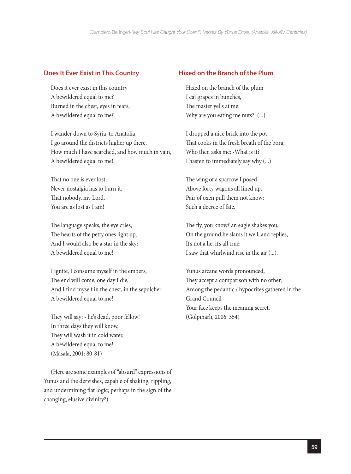## **Does It Ever Exist in This Country**

Does it ever exist in this country A bewildered equal to me? Burned in the chest, eyes in tears, A bewildered equal to me?

I wander down to Syria, to Anatolia, I go around the districts higher up there, How much I have searched, and how much in vain, A bewildered equal to me!

That no one is ever lost, Never nostalgia has to burn it, That nobody, my Lord, You are as lost as I am!

The language speaks, the eye cries, The hearts of the petty ones light up, And I would also be a star in the sky: A bewildered equal to me!

I ignite, I consume myself in the embers, The end will come, one day I die, And I find myself in the chest, in the sepulcher A bewildered equal to me!

They will say: - he's dead, poor fellow! In three days they will know, They will wash it in cold water, A bewildered equal to me! (Masala, 2001: 80-81)

(Here are some examples of "absurd" expressions of Yunus and the dervishes, capable of shaking, rippling, and undermining flat logic; perhaps in the sign of the changing, elusive divinity?)

## **Hixed on the Branch of the Plum**

Hixed on the branch of the plum I eat grapes in bunches, The master yells at me: Why are you eating me nuts?! (...)

I dropped a nice brick into the pot That cooks in the fresh breath of the bora, Who then asks me: -What is it? I hasten to immediately say why (...)

The wing of a sparrow I posed Above forty wagons all lined up, Pair of oxen pull them not know: Such a decree of fate.

The fly, you know? an eagle shakes you, On the ground he slams it well, and replies, It's not a lie, it's all true: I saw that whirlwind rise in the air (...).

Yunus arcane words pronounced, They accept a comparison with no other, Among the pedantic / hypocrites gathered in the Grand Council Your face keeps the meaning secret. (Gölpınarlı, 2006: 354)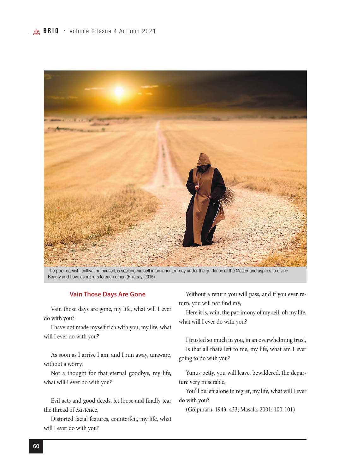

The poor dervish, cultivating himself, is seeking himself in an inner journey under the guidance of the Master and aspires to divine Beauty and Love as mirrors to each other. (Pixabay, 2015)

#### **Vain Those Days Are Gone**

Vain those days are gone, my life, what will I ever do with you?

I have not made myself rich with you, my life, what will I ever do with you?

As soon as I arrive I am, and I run away, unaware, without a worry,

Not a thought for that eternal goodbye, my life, what will I ever do with you?

Evil acts and good deeds, let loose and finally tear the thread of existence,

Distorted facial features, counterfeit, my life, what will I ever do with you?

Without a return you will pass, and if you ever return, you will not find me,

Here it is, vain, the patrimony of my self, oh my life, what will I ever do with you?

I trusted so much in you, in an overwhelming trust, Is that all that's left to me, my life, what am I ever going to do with you?

Yunus petty, you will leave, bewildered, the departure very miserable,

You'll be left alone in regret, my life, what will I ever do with you?

(Gölpınarlı, 1943: 433; Masala, 2001: 100-101)